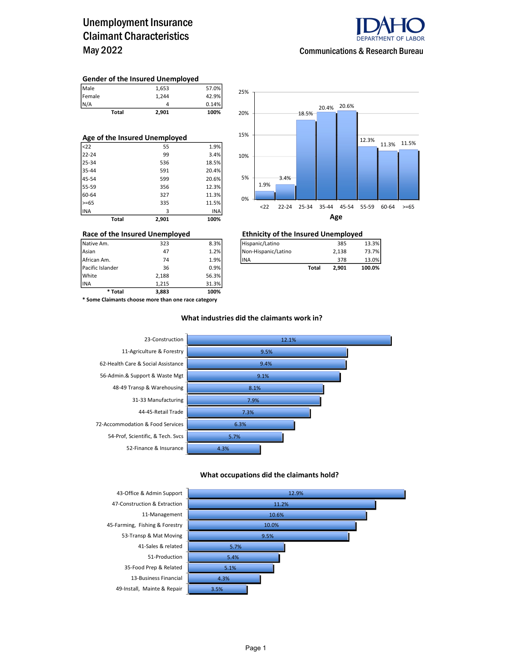### Unemployment Insurance Claimant Characteristics May 2022



#### Communications & Research Bureau

#### Gender of the Insured Unemployed

| Male   | 1.653 | 57.0% |
|--------|-------|-------|
| Female | 1.244 | 42.9% |
| N/A    |       | 0.14% |

Total 2,901 100%

| Age of the Insured Unemployed |       |       |  |  |  |  |  |
|-------------------------------|-------|-------|--|--|--|--|--|
| $22$                          | 55    | 1.9%  |  |  |  |  |  |
| $22 - 24$                     | 99    | 3.4%  |  |  |  |  |  |
| 25-34                         | 536   | 18.5% |  |  |  |  |  |
| 35-44                         | 591   | 20.4% |  |  |  |  |  |
| 45-54                         | 599   | 20.6% |  |  |  |  |  |
| 55-59                         | 356   | 12.3% |  |  |  |  |  |
| 60-64                         | 327   | 11.3% |  |  |  |  |  |
| $>= 65$                       | 335   | 11.5% |  |  |  |  |  |
| lina                          | 3     | INA   |  |  |  |  |  |
| Total                         | 2,901 | 100%  |  |  |  |  |  |



### Race of the Insured Unemployed<br>
Native Am. 323 833 8.3%<br>
Hispanic/Latino 385 385

| Native Am.       | 323 | 8.3% | Hispanic/Latino     |       | 385   | 13.3%  |
|------------------|-----|------|---------------------|-------|-------|--------|
| Asian            | 47  | 1.2% | Non-Hispanic/Latino |       | 2.138 | 73.7%  |
| African Am.      | 74  | 1.9% | <b>IINA</b>         |       | 378   | 13.0%  |
| Pacific Islander | 36  | 0.9% |                     | Total | 2.901 | 100.0% |

INA 1,215 31.3% \* Some Claimants choose more than one race category

\* Total 3,883 100%

Pacific Islander 36 0.9% White 2,188 56.3%<br>1.215 31.3% 31.3%

#### What industries did the claimants work in?



#### What occupations did the claimants hold?

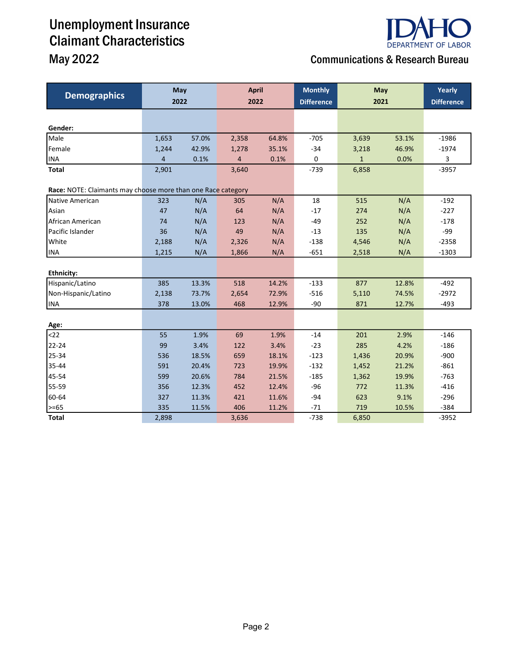# Unemployment Insurance Claimant Characteristics



## May 2022 Communications & Research Bureau

| <b>Demographics</b>                                          | <b>May</b><br>2022 |       | <b>April</b><br>2022 |       | <b>Monthly</b><br><b>Difference</b> | May<br>2021  |       | Yearly<br><b>Difference</b> |
|--------------------------------------------------------------|--------------------|-------|----------------------|-------|-------------------------------------|--------------|-------|-----------------------------|
|                                                              |                    |       |                      |       |                                     |              |       |                             |
| Gender:                                                      |                    |       |                      |       |                                     |              |       |                             |
| Male                                                         | 1,653              | 57.0% | 2,358                | 64.8% | $-705$                              | 3,639        | 53.1% | $-1986$                     |
| Female                                                       | 1,244              | 42.9% | 1,278                | 35.1% | $-34$                               | 3,218        | 46.9% | $-1974$                     |
| <b>INA</b>                                                   | 4                  | 0.1%  | 4                    | 0.1%  | 0                                   | $\mathbf{1}$ | 0.0%  | 3                           |
| Total                                                        | 2,901              |       | 3,640                |       | $-739$                              | 6,858        |       | $-3957$                     |
| Race: NOTE: Claimants may choose more than one Race category |                    |       |                      |       |                                     |              |       |                             |
| Native American                                              | 323                | N/A   | 305                  | N/A   | 18                                  | 515          | N/A   | $-192$                      |
| lAsian                                                       | 47                 | N/A   | 64                   | N/A   | $-17$                               | 274          | N/A   | $-227$                      |
| African American                                             | 74                 | N/A   | 123                  | N/A   | $-49$                               | 252          | N/A   | $-178$                      |
| Pacific Islander                                             | 36                 | N/A   | 49                   | N/A   | $-13$                               | 135          | N/A   | -99                         |
| <b>White</b>                                                 | 2,188              | N/A   | 2,326                | N/A   | $-138$                              | 4,546        | N/A   | $-2358$                     |
| <b>INA</b>                                                   | 1,215              | N/A   | 1,866                | N/A   | $-651$                              | 2,518        | N/A   | $-1303$                     |
|                                                              |                    |       |                      |       |                                     |              |       |                             |
| <b>Ethnicity:</b>                                            |                    |       |                      |       |                                     |              |       |                             |
| Hispanic/Latino                                              | 385                | 13.3% | 518                  | 14.2% | $-133$                              | 877          | 12.8% | $-492$                      |
| Non-Hispanic/Latino                                          | 2,138              | 73.7% | 2,654                | 72.9% | $-516$                              | 5,110        | 74.5% | $-2972$                     |
| <b>INA</b>                                                   | 378                | 13.0% | 468                  | 12.9% | $-90$                               | 871          | 12.7% | $-493$                      |
|                                                              |                    |       |                      |       |                                     |              |       |                             |
| Age:                                                         |                    |       |                      |       |                                     |              |       |                             |
| $22$                                                         | 55                 | 1.9%  | 69                   | 1.9%  | $-14$                               | 201          | 2.9%  | $-146$                      |
| 22-24                                                        | 99                 | 3.4%  | 122                  | 3.4%  | $-23$                               | 285          | 4.2%  | $-186$                      |
| 25-34                                                        | 536                | 18.5% | 659                  | 18.1% | $-123$                              | 1,436        | 20.9% | $-900$                      |
| 35-44                                                        | 591                | 20.4% | 723                  | 19.9% | $-132$                              | 1,452        | 21.2% | $-861$                      |
| 45-54                                                        | 599                | 20.6% | 784                  | 21.5% | $-185$                              | 1,362        | 19.9% | $-763$                      |
| 55-59                                                        | 356                | 12.3% | 452                  | 12.4% | $-96$                               | 772          | 11.3% | $-416$                      |
| 60-64                                                        | 327                | 11.3% | 421                  | 11.6% | $-94$                               | 623          | 9.1%  | $-296$                      |
| $\geq -65$                                                   | 335                | 11.5% | 406                  | 11.2% | $-71$                               | 719          | 10.5% | $-384$                      |
| <b>Total</b>                                                 | 2,898              |       | 3,636                |       | $-738$                              | 6,850        |       | $-3952$                     |